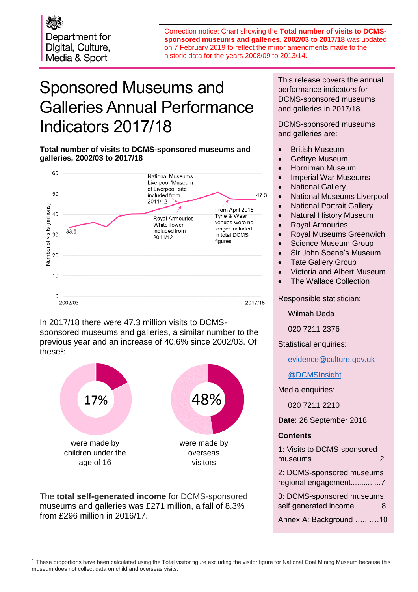Department for Digital, Culture, Media & Sport

Correction notice: Chart showing the **Total number of visits to DCMSsponsored museums and galleries, 2002/03 to 2017/18** was updated on 7 February 2019 to reflect the minor amendments made to the historic data for the years 2008/09 to 2013/14.

# Sponsored Museums and Galleries Annual Performance Indicators 2017/18

**Total number of visits to DCMS-sponsored museums and galleries, 2002/03 to 2017/18**



In 2017/18 there were 47.3 million visits to DCMSsponsored museums and galleries, a similar number to the previous year and an increase of 40.6% since 2002/03. Of these<sup>1</sup>:



The **total self-generated income** for DCMS-sponsored museums and galleries was £271 million, a fall of 8.3% from £296 million in 2016/17.

This release covers the annual performance indicators for DCMS-sponsored museums and galleries in 2017/18.

DCMS-sponsored museums and galleries are:

- British Museum
- Geffrye Museum
- Horniman Museum
- Imperial War Museums
- National Gallery
- National Museums Liverpool
- National Portrait Gallery
- Natural History Museum
- Royal Armouries
- Royal Museums Greenwich
- Science Museum Group
- Sir John Soane's Museum
- Tate Gallery Group
- Victoria and Albert Museum
- The Wallace Collection

Responsible statistician:

Wilmah Deda

020 7211 2376

Statistical enquiries:

[evidence@culture.gov.uk](mailto:name.surname@culture.gov.uk)

[@DCMSInsight](http://www.twitter.com/DCMSInsight)

Media enquiries:

020 7211 2210

**Date**: 26 September 2018

#### **Contents**

| 1: Visits to DCMS-sponsored<br>museums2             |
|-----------------------------------------------------|
| 2: DCMS-sponsored museums<br>regional engagement7   |
| 3: DCMS-sponsored museums<br>self generated income8 |
| Annex A: Background 10                              |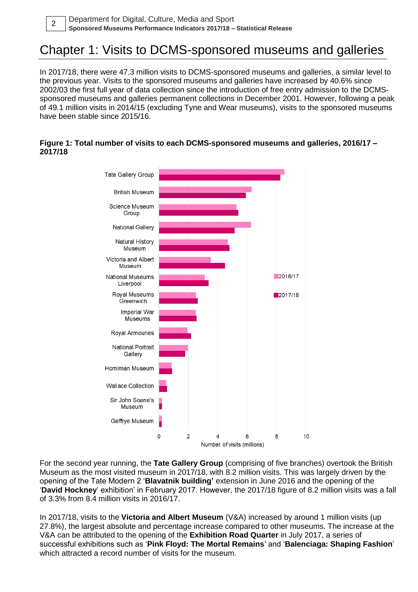### Chapter 1: Visits to DCMS-sponsored museums and galleries

In 2017/18, there were 47.3 million visits to DCMS-sponsored museums and galleries, a similar level to the previous year. Visits to the sponsored museums and galleries have increased by 40.6% since 2002/03 the first full year of data collection since the introduction of free entry admission to the DCMSsponsored museums and galleries permanent collections in December 2001. However, following a peak of 49.1 million visits in 2014/15 (excluding Tyne and Wear museums), visits to the sponsored museums have been stable since 2015/16.

#### **Figure 1: Total number of visits to each DCMS-sponsored museums and galleries, 2016/17 – 2017/18**



For the second year running, the **Tate Gallery Group** (comprising of five branches) overtook the British Museum as the most visited museum in 2017/18, with 8.2 million visits. This was largely driven by the opening of the Tate Modern 2 '**Blavatnik building'** extension in June 2016 and the opening of the '**David Hockney**' exhibition' in February 2017. However, the 2017/18 figure of 8.2 million visits was a fall of 3.3% from 8.4 million visits in 2016/17.

In 2017/18, visits to the **Victoria and Albert Museum** (V&A) increased by around 1 million visits (up 27.8%), the largest absolute and percentage increase compared to other museums. The increase at the V&A can be attributed to the opening of the **Exhibition Road Quarter** in July 2017, a series of successful exhibitions such as '**Pink Floyd: The Mortal Remains**' and '**Balenciaga: Shaping Fashion**' which attracted a record number of visits for the museum.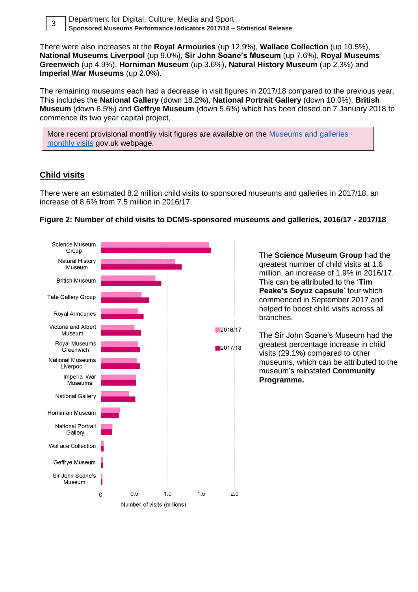

Department for Digital, Culture, Media and Sport **Sponsored Museums Performance Indicators 2017/18 – Statistical Release** <sup>3</sup>

There were also increases at the **Royal Armouries** (up 12.9%), **Wallace Collection** (up 10.5%), **National Museums Liverpool** (up 9.0%), **Sir John Soane's Museum** (up 7.6%), **Royal Museums Greenwich** (up 4.9%), **Horniman Museum** (up 3.6%), **Natural History Museum** (up 2.3%) and **Imperial War Museums** (up 2.0%).

The remaining museums each had a decrease in visit figures in 2017/18 compared to the previous year. This includes the **National Gallery** (down 18.2%), **National Portrait Gallery** (down 10.0%), **British Museum** (down 6.5%) and **Geffrye Museum** (down 5.6%) which has been closed on 7 January 2018 to commence its two year capital project,

More recent provisional monthly visit figures are available on the **Museums and galleries** [monthly visits](https://www.gov.uk/government/statistical-data-sets/museums-and-galleries-monthly-visits) gov.uk webpage.

#### **Child visits**

There were an estimated 8.2 million child visits to sponsored museums and galleries in 2017/18, an increase of 8.6% from 7.5 million in 2016/17.



#### **Figure 2: Number of child visits to DCMS-sponsored museums and galleries, 2016/17 - 2017/18**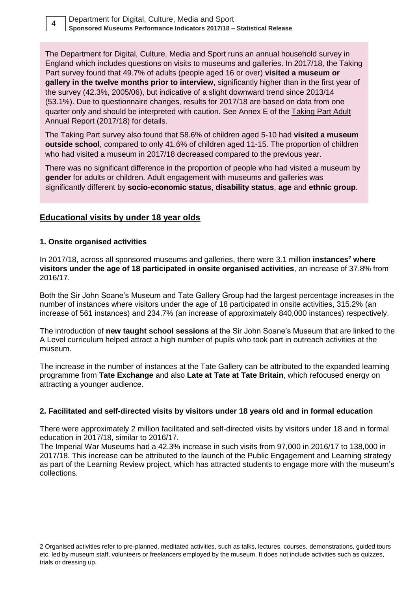The Department for Digital, Culture, Media and Sport runs an annual household survey in England which includes questions on visits to museums and galleries. In 2017/18, the Taking Part survey found that 49.7% of adults (people aged 16 or over) **visited a museum or gallery in the twelve months prior to interview**, significantly higher than in the first year of the survey (42.3%, 2005/06), but indicative of a slight downward trend since 2013/14 (53.1%). Due to questionnaire changes, results for 2017/18 are based on data from one quarter only and should be interpreted with caution. See Annex E of the [Taking Part Adult](https://www.gov.uk/government/statistics/taking-part-201718-quarter-4-statistical-release)  [Annual Report \(2017/18\)](https://www.gov.uk/government/statistics/taking-part-201718-quarter-4-statistical-release) for details.

The Taking Part survey also found that 58.6% of children aged 5-10 had **visited a museum outside school**, compared to only 41.6% of children aged 11-15. The proportion of children who had visited a museum in 2017/18 decreased compared to the previous year.

There was no significant difference in the proportion of people who had visited a museum by **gender** for adults or children. Adult engagement with museums and galleries was significantly different by **socio-economic status**, **disability status**, **age** and **ethnic group**.

#### **Educational visits by under 18 year olds**

#### **1. Onsite organised activities**

In 2017/18, across all sponsored museums and galleries, there were 3.1 million **instances<sup>2</sup> where visitors under the age of 18 participated in onsite organised activities**, an increase of 37.8% from 2016/17.

Both the Sir John Soane's Museum and Tate Gallery Group had the largest percentage increases in the number of instances where visitors under the age of 18 participated in onsite activities, 315.2% (an increase of 561 instances) and 234.7% (an increase of approximately 840,000 instances) respectively.

The introduction of **new taught school sessions** at the Sir John Soane's Museum that are linked to the A Level curriculum helped attract a high number of pupils who took part in outreach activities at the museum.

The increase in the number of instances at the Tate Gallery can be attributed to the expanded learning programme from **Tate Exchange** and also **Late at Tate at Tate Britain**, which refocused energy on attracting a younger audience.

#### **2. Facilitated and self-directed visits by visitors under 18 years old and in formal education**

There were approximately 2 million facilitated and self-directed visits by visitors under 18 and in formal education in 2017/18, similar to 2016/17.

The Imperial War Museums had a 42.3% increase in such visits from 97,000 in 2016/17 to 138,000 in 2017/18. This increase can be attributed to the launch of the Public Engagement and Learning strategy as part of the Learning Review project, which has attracted students to engage more with the museum's collections.

2 Organised activities refer to pre-planned, meditated activities, such as talks, lectures, courses, demonstrations, guided tours etc. led by museum staff, volunteers or freelancers employed by the museum. It does not include activities such as quizzes, trials or dressing up.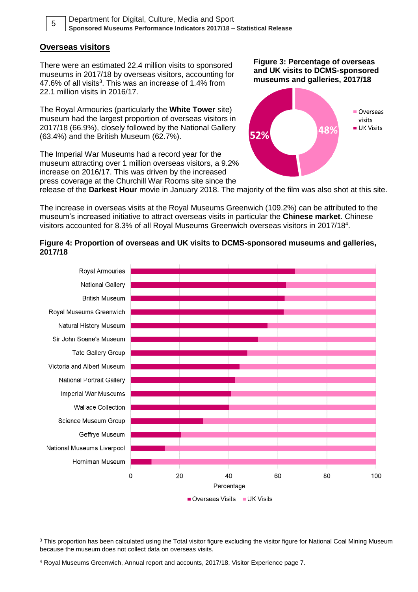

Department for Digital, Culture, Media and Sport **Sponsored Museums Performance Indicators 2017/18 – Statistical Release** <sup>5</sup>

#### **Overseas visitors**

There were an estimated 22.4 million visits to sponsored museums in 2017/18 by overseas visitors, accounting for 47.6% of all visits<sup>3</sup>. This was an increase of 1.4% from 22.1 million visits in 2016/17.

The Royal Armouries (particularly the **White Tower** site) museum had the largest proportion of overseas visitors in 2017/18 (66.9%), closely followed by the National Gallery (63.4%) and the British Museum (62.7%).

The Imperial War Museums had a record year for the museum attracting over 1 million overseas visitors, a 9.2% increase on 2016/17. This was driven by the increased press coverage at the Churchill War Rooms site since the

**Figure 3: Percentage of overseas and UK visits to DCMS-sponsored museums and galleries, 2017/18**



release of the **Darkest Hour** movie in January 2018. The majority of the film was also shot at this site.

The increase in overseas visits at the Royal Museums Greenwich (109.2%) can be attributed to the museum's increased initiative to attract overseas visits in particular the **Chinese market**. Chinese visitors accounted for 8.3% of all Royal Museums Greenwich overseas visitors in 2017/18<sup>4</sup>.

#### **Figure 4: Proportion of overseas and UK visits to DCMS-sponsored museums and galleries, 2017/18**



<sup>3</sup> This proportion has been calculated using the Total visitor figure excluding the visitor figure for National Coal Mining Museum because the museum does not collect data on overseas visits.

<sup>4</sup> Royal Museums Greenwich, Annual report and accounts, 2017/18, Visitor Experience page 7.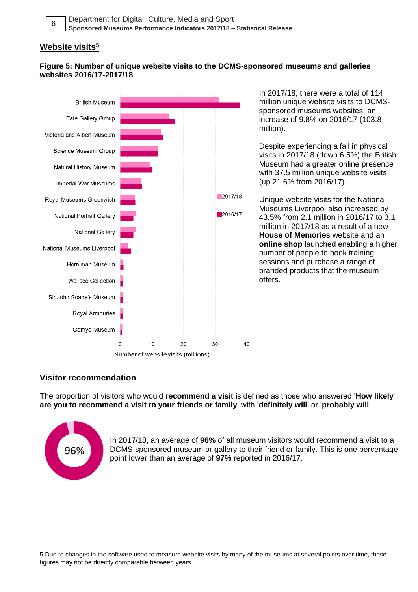#### **Website visits<sup>5</sup>**

#### **Figure 5: Number of unique website visits to the DCMS-sponsored museums and galleries websites 2016/17-2017/18**



In 2017/18, there were a total of 114 million unique website visits to DCMSsponsored museums websites, an increase of 9.8% on 2016/17 (103.8 million).

Despite experiencing a fall in physical visits in 2017/18 (down 6.5%) the British Museum had a greater online presence with 37.5 million unique website visits (up 21.6% from 2016/17).

Unique website visits for the National Museums Liverpool also increased by 43.5% from 2.1 million in 2016/17 to 3.1 million in 2017/18 as a result of a new **House of Memories** website and an **online shop** launched enabling a higher number of people to book training sessions and purchase a range of branded products that the museum offers.

#### **Visitor recommendation**

The proportion of visitors who would **recommend a visit** is defined as those who answered '**How likely are you to recommend a visit to your friends or family**' with '**definitely will**' or '**probably will**'.



In 2017/18, an average of **96%** of all museum visitors would recommend a visit to a DCMS-sponsored museum or gallery to their friend or family. This is one percentage point lower than an average of **97%** reported in 2016/17.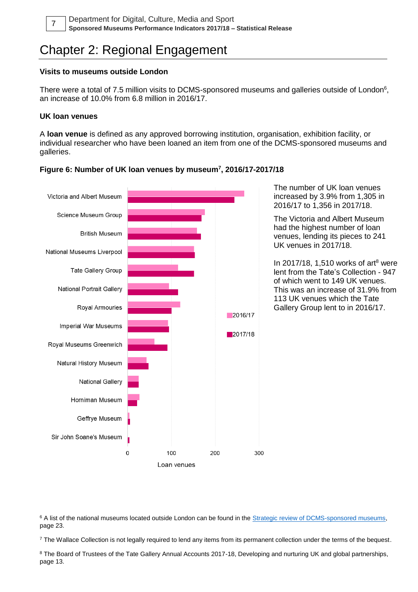

# Chapter 2: Regional Engagement

#### **Visits to museums outside London**

There were a total of 7.5 million visits to DCMS-sponsored museums and galleries outside of London $6$ , an increase of 10.0% from 6.8 million in 2016/17.

#### **UK loan venues**

A **loan venue** is defined as any approved borrowing institution, organisation, exhibition facility, or individual researcher who have been loaned an item from one of the DCMS-sponsored museums and galleries.



#### **Figure 6: Number of UK loan venues by museum<sup>7</sup> , 2016/17-2017/18**

The number of UK loan venues increased by 3.9% from 1,305 in 2016/17 to 1,356 in 2017/18.

The Victoria and Albert Museum had the highest number of loan venues, lending its pieces to 241 UK venues in 2017/18.

In 2017/18, 1,510 works of art<sup>8</sup> were lent from the Tate's Collection - 947 of which went to 149 UK venues. This was an increase of 31.9% from 113 UK venues which the Tate Gallery Group lent to in 2016/17.

<sup>6</sup> A list of the national museums located outside London can be found in the Strategic review of DCMS-sponsored museums, page 23.

 $7$  The Wallace Collection is not legally required to lend any items from its permanent collection under the terms of the bequest.

<sup>8</sup> The Board of Trustees of the Tate Gallery Annual Accounts 2017-18, Developing and nurturing UK and global partnerships, page 13.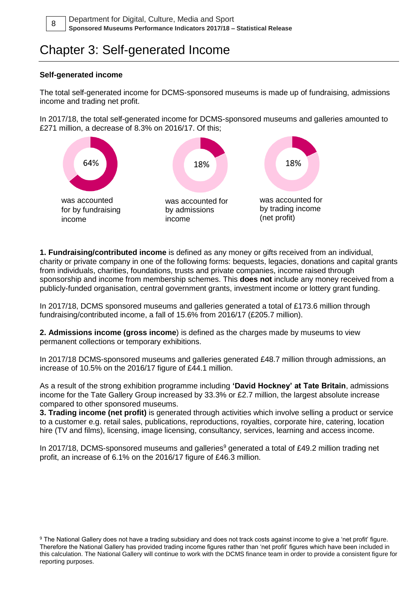# Chapter 3: Self-generated Income

#### **Self-generated income**

The total self-generated income for DCMS-sponsored museums is made up of fundraising, admissions income and trading net profit.

In 2017/18, the total self-generated income for DCMS-sponsored museums and galleries amounted to £271 million, a decrease of 8.3% on 2016/17. Of this;



**1. Fundraising/contributed income** is defined as any money or gifts received from an individual, charity or private company in one of the following forms: bequests, legacies, donations and capital grants from individuals, charities, foundations, trusts and private companies, income raised through sponsorship and income from membership schemes. This **does not** include any money received from a publicly-funded organisation, central government grants, investment income or lottery grant funding.

In 2017/18, DCMS sponsored museums and galleries generated a total of £173.6 million through fundraising/contributed income, a fall of 15.6% from 2016/17 (£205.7 million).

**2. Admissions income (gross income**) is defined as the charges made by museums to view permanent collections or temporary exhibitions.

In 2017/18 DCMS-sponsored museums and galleries generated £48.7 million through admissions, an increase of 10.5% on the 2016/17 figure of £44.1 million.

As a result of the strong exhibition programme including **'David Hockney' at Tate Britain**, admissions income for the Tate Gallery Group increased by 33.3% or £2.7 million, the largest absolute increase compared to other sponsored museums.

**3. Trading income (net profit)** is generated through activities which involve selling a product or service to a customer e.g. retail sales, publications, reproductions, royalties, corporate hire, catering, location hire (TV and films), licensing, image licensing, consultancy, services, learning and access income.

In 2017/18, DCMS-sponsored museums and galleries<sup>9</sup> generated a total of £49.2 million trading net profit, an increase of 6.1% on the 2016/17 figure of £46.3 million.

9 The National Gallery does not have a trading subsidiary and does not track costs against income to give a 'net profit' figure. Therefore the National Gallery has provided trading income figures rather than 'net profit' figures which have been included in this calculation. The National Gallery will continue to work with the DCMS finance team in order to provide a consistent figure for reporting purposes.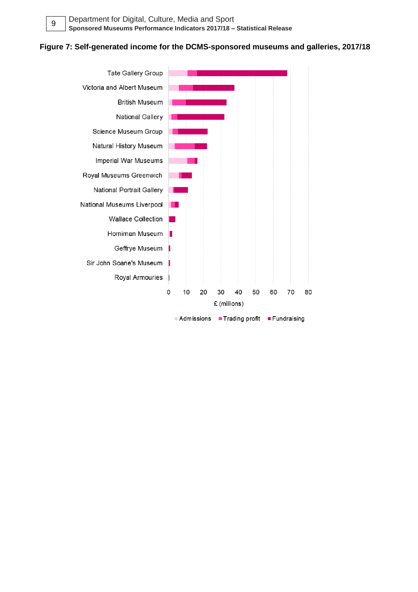

#### **Figure 7: Self-generated income for the DCMS-sponsored museums and galleries, 2017/18**

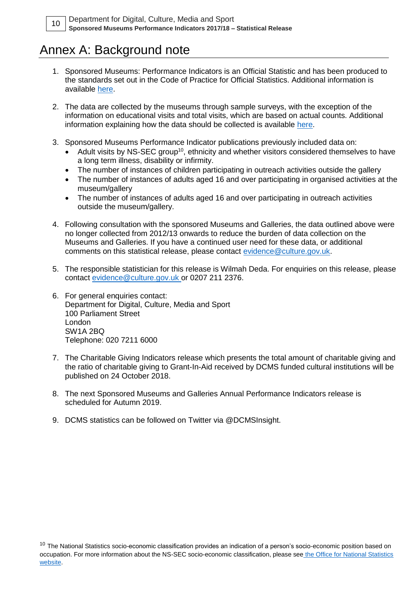## Annex A: Background note

- 1. Sponsored Museums: Performance Indicators is an Official Statistic and has been produced to the standards set out in the Code of Practice for Official Statistics. Additional information is available [here.](https://www.statisticsauthority.gov.uk/wp-content/uploads/2018/02/Code-of-Practice-for-Statistics.pdf)
- 2. The data are collected by the museums through sample surveys, with the exception of the information on educational visits and total visits, which are based on actual counts. Additional information explaining how the data should be collected is available [here.](https://www.gov.uk/government/uploads/system/uploads/attachment_data/file/71228/Museum-Performance-Indicator_Guidancenote_201011.pdf)
- 3. Sponsored Museums Performance Indicator publications previously included data on:
	- Adult visits by NS-SEC group<sup>10</sup>, ethnicity and whether visitors considered themselves to have a long term illness, disability or infirmity.
	- The number of instances of children participating in outreach activities outside the gallery
	- The number of instances of adults aged 16 and over participating in organised activities at the museum/gallery
	- The number of instances of adults aged 16 and over participating in outreach activities outside the museum/gallery.
- 4. Following consultation with the sponsored Museums and Galleries, the data outlined above were no longer collected from 2012/13 onwards to reduce the burden of data collection on the Museums and Galleries. If you have a continued user need for these data, or additional comments on this statistical release, please contact [evidence@culture.gov.uk.](mailto:evidence@culture.gov.uk)
- 5. The responsible statistician for this release is Wilmah Deda. For enquiries on this release, please contact [evidence@culture.gov.uk](file://///ad.culture.gov.uk/dfs/Data/EAU/Statistics/Sponsored%20Museums%20Peformance%20Indicators/evidence@culture.gov.uk) or 0207 211 2376.
- 6. For general enquiries contact: Department for Digital, Culture, Media and Sport 100 Parliament Street London SW1A 2BQ Telephone: 020 7211 6000
- 7. The Charitable Giving Indicators release which presents the total amount of charitable giving and the ratio of charitable giving to Grant-In-Aid received by DCMS funded cultural institutions will be published on 24 October 2018.
- 8. The next Sponsored Museums and Galleries Annual Performance Indicators release is scheduled for Autumn 2019.
- 9. DCMS statistics can be followed on Twitter via @DCMSInsight.